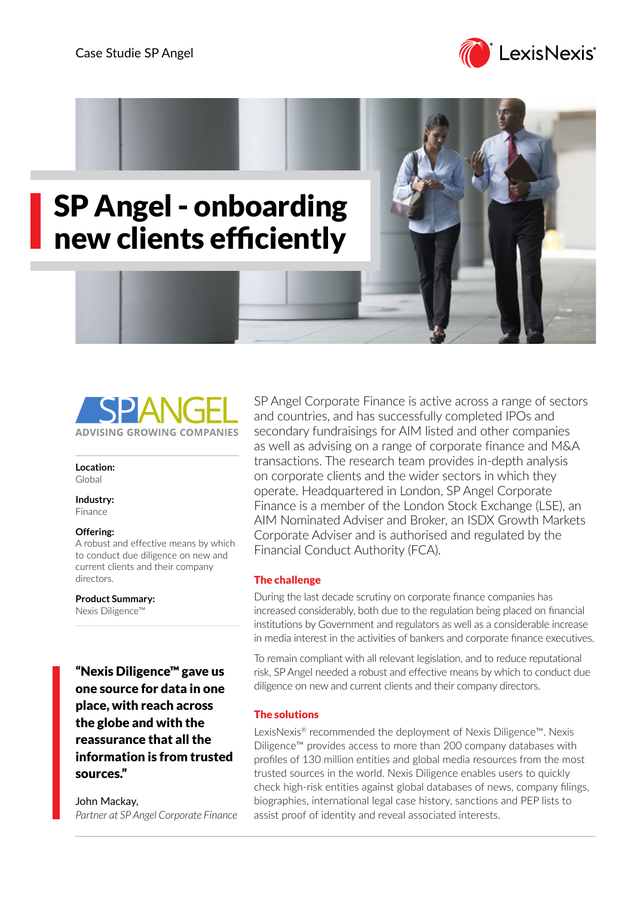





**Location:** Global

**Industry:** Finance

#### **Offering:**

A robust and effective means by which to conduct due diligence on new and current clients and their company directors.

**Product Summary:**

Nexis Diligence™

"Nexis Diligence™ gave us one source for data in one place, with reach across the globe and with the reassurance that all the information is from trusted sources."

John Mackay, *Partner at SP Angel Corporate Finance* SP Angel Corporate Finance is active across a range of sectors and countries, and has successfully completed IPOs and secondary fundraisings for AIM listed and other companies as well as advising on a range of corporate finance and M&A transactions. The research team provides in-depth analysis on corporate clients and the wider sectors in which they operate. Headquartered in London, SP Angel Corporate Finance is a member of the London Stock Exchange (LSE), an AIM Nominated Adviser and Broker, an ISDX Growth Markets Corporate Adviser and is authorised and regulated by the Financial Conduct Authority (FCA).

# The challenge

During the last decade scrutiny on corporate finance companies has increased considerably, both due to the regulation being placed on financial institutions by Government and regulators as well as a considerable increase in media interest in the activities of bankers and corporate finance executives.

To remain compliant with all relevant legislation, and to reduce reputational risk, SP Angel needed a robust and effective means by which to conduct due diligence on new and current clients and their company directors.

# The solutions

LexisNexis® recommended the deployment of Nexis Diligence™. Nexis Diligence™ provides access to more than 200 company databases with profiles of 130 million entities and global media resources from the most trusted sources in the world. Nexis Diligence enables users to quickly check high-risk entities against global databases of news, company filings, biographies, international legal case history, sanctions and PEP lists to assist proof of identity and reveal associated interests.